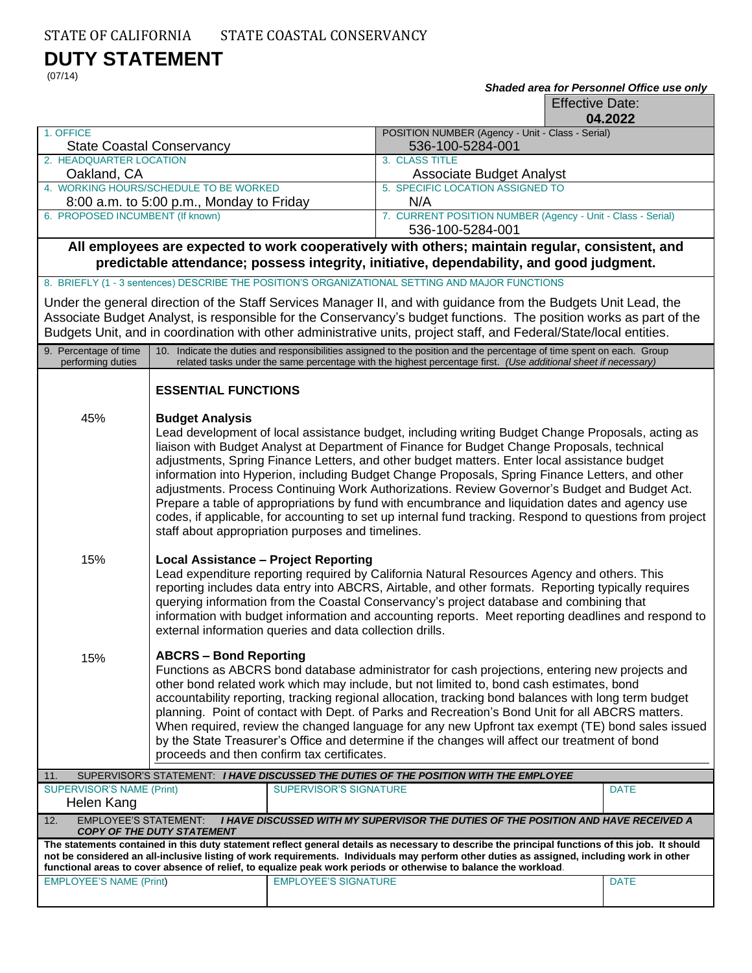## **DUTY STATEMENT**

(07/14)

#### *Shaded area for Personnel Office use only*

Effective Date:

|                                                                                                                                                                                                                                                                |                                                                                                                                                                                                                                                                                                                                                                                                                                                                                                                                                                                                                                                                                                                                                                                                    |                               |                                                                                                                                                                                                                                         | 04.2022     |  |
|----------------------------------------------------------------------------------------------------------------------------------------------------------------------------------------------------------------------------------------------------------------|----------------------------------------------------------------------------------------------------------------------------------------------------------------------------------------------------------------------------------------------------------------------------------------------------------------------------------------------------------------------------------------------------------------------------------------------------------------------------------------------------------------------------------------------------------------------------------------------------------------------------------------------------------------------------------------------------------------------------------------------------------------------------------------------------|-------------------------------|-----------------------------------------------------------------------------------------------------------------------------------------------------------------------------------------------------------------------------------------|-------------|--|
| 1. OFFICE                                                                                                                                                                                                                                                      |                                                                                                                                                                                                                                                                                                                                                                                                                                                                                                                                                                                                                                                                                                                                                                                                    |                               | POSITION NUMBER (Agency - Unit - Class - Serial)<br>536-100-5284-001                                                                                                                                                                    |             |  |
| <b>State Coastal Conservancy</b><br>2. HEADQUARTER LOCATION                                                                                                                                                                                                    |                                                                                                                                                                                                                                                                                                                                                                                                                                                                                                                                                                                                                                                                                                                                                                                                    |                               | 3. CLASS TITLE                                                                                                                                                                                                                          |             |  |
| Oakland, CA                                                                                                                                                                                                                                                    |                                                                                                                                                                                                                                                                                                                                                                                                                                                                                                                                                                                                                                                                                                                                                                                                    |                               | Associate Budget Analyst                                                                                                                                                                                                                |             |  |
| 4. WORKING HOURS/SCHEDULE TO BE WORKED<br>8:00 a.m. to 5:00 p.m., Monday to Friday                                                                                                                                                                             |                                                                                                                                                                                                                                                                                                                                                                                                                                                                                                                                                                                                                                                                                                                                                                                                    |                               | 5. SPECIFIC LOCATION ASSIGNED TO<br>N/A                                                                                                                                                                                                 |             |  |
| 6. PROPOSED INCUMBENT (If known)                                                                                                                                                                                                                               |                                                                                                                                                                                                                                                                                                                                                                                                                                                                                                                                                                                                                                                                                                                                                                                                    |                               | 7. CURRENT POSITION NUMBER (Agency - Unit - Class - Serial)                                                                                                                                                                             |             |  |
|                                                                                                                                                                                                                                                                |                                                                                                                                                                                                                                                                                                                                                                                                                                                                                                                                                                                                                                                                                                                                                                                                    |                               | 536-100-5284-001                                                                                                                                                                                                                        |             |  |
| All employees are expected to work cooperatively with others; maintain regular, consistent, and<br>predictable attendance; possess integrity, initiative, dependability, and good judgment.                                                                    |                                                                                                                                                                                                                                                                                                                                                                                                                                                                                                                                                                                                                                                                                                                                                                                                    |                               |                                                                                                                                                                                                                                         |             |  |
|                                                                                                                                                                                                                                                                |                                                                                                                                                                                                                                                                                                                                                                                                                                                                                                                                                                                                                                                                                                                                                                                                    |                               | 8. BRIEFLY (1 - 3 sentences) DESCRIBE THE POSITION'S ORGANIZATIONAL SETTING AND MAJOR FUNCTIONS                                                                                                                                         |             |  |
|                                                                                                                                                                                                                                                                |                                                                                                                                                                                                                                                                                                                                                                                                                                                                                                                                                                                                                                                                                                                                                                                                    |                               | Under the general direction of the Staff Services Manager II, and with guidance from the Budgets Unit Lead, the                                                                                                                         |             |  |
| Associate Budget Analyst, is responsible for the Conservancy's budget functions. The position works as part of the<br>Budgets Unit, and in coordination with other administrative units, project staff, and Federal/State/local entities.                      |                                                                                                                                                                                                                                                                                                                                                                                                                                                                                                                                                                                                                                                                                                                                                                                                    |                               |                                                                                                                                                                                                                                         |             |  |
| 9. Percentage of time<br>performing duties                                                                                                                                                                                                                     |                                                                                                                                                                                                                                                                                                                                                                                                                                                                                                                                                                                                                                                                                                                                                                                                    |                               | 10. Indicate the duties and responsibilities assigned to the position and the percentage of time spent on each. Group<br>related tasks under the same percentage with the highest percentage first. (Use additional sheet if necessary) |             |  |
|                                                                                                                                                                                                                                                                | <b>ESSENTIAL FUNCTIONS</b>                                                                                                                                                                                                                                                                                                                                                                                                                                                                                                                                                                                                                                                                                                                                                                         |                               |                                                                                                                                                                                                                                         |             |  |
| 45%                                                                                                                                                                                                                                                            | <b>Budget Analysis</b><br>Lead development of local assistance budget, including writing Budget Change Proposals, acting as<br>liaison with Budget Analyst at Department of Finance for Budget Change Proposals, technical<br>adjustments, Spring Finance Letters, and other budget matters. Enter local assistance budget<br>information into Hyperion, including Budget Change Proposals, Spring Finance Letters, and other<br>adjustments. Process Continuing Work Authorizations. Review Governor's Budget and Budget Act.<br>Prepare a table of appropriations by fund with encumbrance and liquidation dates and agency use<br>codes, if applicable, for accounting to set up internal fund tracking. Respond to questions from project<br>staff about appropriation purposes and timelines. |                               |                                                                                                                                                                                                                                         |             |  |
| 15%                                                                                                                                                                                                                                                            | <b>Local Assistance - Project Reporting</b><br>Lead expenditure reporting required by California Natural Resources Agency and others. This<br>reporting includes data entry into ABCRS, Airtable, and other formats. Reporting typically requires<br>querying information from the Coastal Conservancy's project database and combining that<br>information with budget information and accounting reports. Meet reporting deadlines and respond to<br>external information queries and data collection drills.                                                                                                                                                                                                                                                                                    |                               |                                                                                                                                                                                                                                         |             |  |
| 15%                                                                                                                                                                                                                                                            | <b>ABCRS - Bond Reporting</b><br>Functions as ABCRS bond database administrator for cash projections, entering new projects and<br>other bond related work which may include, but not limited to, bond cash estimates, bond<br>accountability reporting, tracking regional allocation, tracking bond balances with long term budget<br>planning. Point of contact with Dept. of Parks and Recreation's Bond Unit for all ABCRS matters.<br>When required, review the changed language for any new Upfront tax exempt (TE) bond sales issued<br>by the State Treasurer's Office and determine if the changes will affect our treatment of bond<br>proceeds and then confirm tax certificates.                                                                                                       |                               |                                                                                                                                                                                                                                         |             |  |
| SUPERVISOR'S STATEMENT: I HAVE DISCUSSED THE DUTIES OF THE POSITION WITH THE EMPLOYEE<br>11.                                                                                                                                                                   |                                                                                                                                                                                                                                                                                                                                                                                                                                                                                                                                                                                                                                                                                                                                                                                                    |                               |                                                                                                                                                                                                                                         |             |  |
| <b>SUPERVISOR'S NAME (Print)</b>                                                                                                                                                                                                                               |                                                                                                                                                                                                                                                                                                                                                                                                                                                                                                                                                                                                                                                                                                                                                                                                    | <b>SUPERVISOR'S SIGNATURE</b> |                                                                                                                                                                                                                                         | <b>DATE</b> |  |
| Helen Kang<br><b>EMPLOYEE'S STATEMENT:</b><br><b>I HAVE DISCUSSED WITH MY SUPERVISOR THE DUTIES OF THE POSITION AND HAVE RECEIVED A</b><br>12.                                                                                                                 |                                                                                                                                                                                                                                                                                                                                                                                                                                                                                                                                                                                                                                                                                                                                                                                                    |                               |                                                                                                                                                                                                                                         |             |  |
| <b>COPY OF THE DUTY STATEMENT</b><br>The statements contained in this duty statement reflect general details as necessary to describe the principal functions of this job. It should                                                                           |                                                                                                                                                                                                                                                                                                                                                                                                                                                                                                                                                                                                                                                                                                                                                                                                    |                               |                                                                                                                                                                                                                                         |             |  |
| not be considered an all-inclusive listing of work requirements. Individuals may perform other duties as assigned, including work in other<br>functional areas to cover absence of relief, to equalize peak work periods or otherwise to balance the workload. |                                                                                                                                                                                                                                                                                                                                                                                                                                                                                                                                                                                                                                                                                                                                                                                                    |                               |                                                                                                                                                                                                                                         |             |  |
| <b>EMPLOYEE'S NAME (Print)</b>                                                                                                                                                                                                                                 |                                                                                                                                                                                                                                                                                                                                                                                                                                                                                                                                                                                                                                                                                                                                                                                                    | <b>EMPLOYEE'S SIGNATURE</b>   |                                                                                                                                                                                                                                         | <b>DATE</b> |  |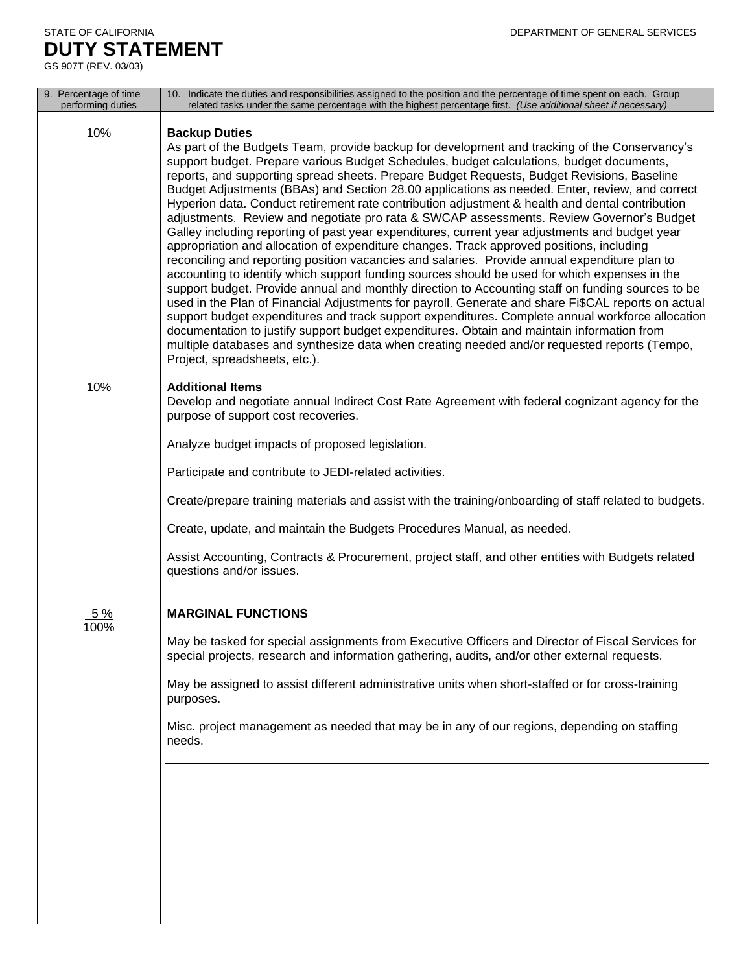### STATE OF CALIFORNIA DEPARTMENT OF GENERAL SERVICES **DUTY STATEMENT**

GS 907T (REV. 03/03)

| 9. Percentage of time<br>performing duties | 10. Indicate the duties and responsibilities assigned to the position and the percentage of time spent on each. Group<br>related tasks under the same percentage with the highest percentage first. (Use additional sheet if necessary)                                                                                                                                                                                                                                                                                                                                                                                                                                                                                                                                                                                                                                                                                                                                                                                                                                                                                                                                                                                                                                                                                                                                                                                                                                                                                                                         |
|--------------------------------------------|-----------------------------------------------------------------------------------------------------------------------------------------------------------------------------------------------------------------------------------------------------------------------------------------------------------------------------------------------------------------------------------------------------------------------------------------------------------------------------------------------------------------------------------------------------------------------------------------------------------------------------------------------------------------------------------------------------------------------------------------------------------------------------------------------------------------------------------------------------------------------------------------------------------------------------------------------------------------------------------------------------------------------------------------------------------------------------------------------------------------------------------------------------------------------------------------------------------------------------------------------------------------------------------------------------------------------------------------------------------------------------------------------------------------------------------------------------------------------------------------------------------------------------------------------------------------|
| 10%                                        | <b>Backup Duties</b><br>As part of the Budgets Team, provide backup for development and tracking of the Conservancy's<br>support budget. Prepare various Budget Schedules, budget calculations, budget documents,<br>reports, and supporting spread sheets. Prepare Budget Requests, Budget Revisions, Baseline<br>Budget Adjustments (BBAs) and Section 28.00 applications as needed. Enter, review, and correct<br>Hyperion data. Conduct retirement rate contribution adjustment & health and dental contribution<br>adjustments. Review and negotiate pro rata & SWCAP assessments. Review Governor's Budget<br>Galley including reporting of past year expenditures, current year adjustments and budget year<br>appropriation and allocation of expenditure changes. Track approved positions, including<br>reconciling and reporting position vacancies and salaries. Provide annual expenditure plan to<br>accounting to identify which support funding sources should be used for which expenses in the<br>support budget. Provide annual and monthly direction to Accounting staff on funding sources to be<br>used in the Plan of Financial Adjustments for payroll. Generate and share Fi\$CAL reports on actual<br>support budget expenditures and track support expenditures. Complete annual workforce allocation<br>documentation to justify support budget expenditures. Obtain and maintain information from<br>multiple databases and synthesize data when creating needed and/or requested reports (Tempo,<br>Project, spreadsheets, etc.). |
| 10%                                        | <b>Additional Items</b><br>Develop and negotiate annual Indirect Cost Rate Agreement with federal cognizant agency for the<br>purpose of support cost recoveries.                                                                                                                                                                                                                                                                                                                                                                                                                                                                                                                                                                                                                                                                                                                                                                                                                                                                                                                                                                                                                                                                                                                                                                                                                                                                                                                                                                                               |
|                                            | Analyze budget impacts of proposed legislation.                                                                                                                                                                                                                                                                                                                                                                                                                                                                                                                                                                                                                                                                                                                                                                                                                                                                                                                                                                                                                                                                                                                                                                                                                                                                                                                                                                                                                                                                                                                 |
|                                            | Participate and contribute to JEDI-related activities.                                                                                                                                                                                                                                                                                                                                                                                                                                                                                                                                                                                                                                                                                                                                                                                                                                                                                                                                                                                                                                                                                                                                                                                                                                                                                                                                                                                                                                                                                                          |
|                                            | Create/prepare training materials and assist with the training/onboarding of staff related to budgets.                                                                                                                                                                                                                                                                                                                                                                                                                                                                                                                                                                                                                                                                                                                                                                                                                                                                                                                                                                                                                                                                                                                                                                                                                                                                                                                                                                                                                                                          |
|                                            | Create, update, and maintain the Budgets Procedures Manual, as needed.                                                                                                                                                                                                                                                                                                                                                                                                                                                                                                                                                                                                                                                                                                                                                                                                                                                                                                                                                                                                                                                                                                                                                                                                                                                                                                                                                                                                                                                                                          |
|                                            | Assist Accounting, Contracts & Procurement, project staff, and other entities with Budgets related<br>questions and/or issues.                                                                                                                                                                                                                                                                                                                                                                                                                                                                                                                                                                                                                                                                                                                                                                                                                                                                                                                                                                                                                                                                                                                                                                                                                                                                                                                                                                                                                                  |
| <u>5 %</u><br>100%                         | <b>MARGINAL FUNCTIONS</b>                                                                                                                                                                                                                                                                                                                                                                                                                                                                                                                                                                                                                                                                                                                                                                                                                                                                                                                                                                                                                                                                                                                                                                                                                                                                                                                                                                                                                                                                                                                                       |
|                                            | May be tasked for special assignments from Executive Officers and Director of Fiscal Services for<br>special projects, research and information gathering, audits, and/or other external requests.                                                                                                                                                                                                                                                                                                                                                                                                                                                                                                                                                                                                                                                                                                                                                                                                                                                                                                                                                                                                                                                                                                                                                                                                                                                                                                                                                              |
|                                            | May be assigned to assist different administrative units when short-staffed or for cross-training<br>purposes.                                                                                                                                                                                                                                                                                                                                                                                                                                                                                                                                                                                                                                                                                                                                                                                                                                                                                                                                                                                                                                                                                                                                                                                                                                                                                                                                                                                                                                                  |
|                                            | Misc. project management as needed that may be in any of our regions, depending on staffing<br>needs.                                                                                                                                                                                                                                                                                                                                                                                                                                                                                                                                                                                                                                                                                                                                                                                                                                                                                                                                                                                                                                                                                                                                                                                                                                                                                                                                                                                                                                                           |
|                                            |                                                                                                                                                                                                                                                                                                                                                                                                                                                                                                                                                                                                                                                                                                                                                                                                                                                                                                                                                                                                                                                                                                                                                                                                                                                                                                                                                                                                                                                                                                                                                                 |
|                                            |                                                                                                                                                                                                                                                                                                                                                                                                                                                                                                                                                                                                                                                                                                                                                                                                                                                                                                                                                                                                                                                                                                                                                                                                                                                                                                                                                                                                                                                                                                                                                                 |
|                                            |                                                                                                                                                                                                                                                                                                                                                                                                                                                                                                                                                                                                                                                                                                                                                                                                                                                                                                                                                                                                                                                                                                                                                                                                                                                                                                                                                                                                                                                                                                                                                                 |
|                                            |                                                                                                                                                                                                                                                                                                                                                                                                                                                                                                                                                                                                                                                                                                                                                                                                                                                                                                                                                                                                                                                                                                                                                                                                                                                                                                                                                                                                                                                                                                                                                                 |
|                                            |                                                                                                                                                                                                                                                                                                                                                                                                                                                                                                                                                                                                                                                                                                                                                                                                                                                                                                                                                                                                                                                                                                                                                                                                                                                                                                                                                                                                                                                                                                                                                                 |
|                                            |                                                                                                                                                                                                                                                                                                                                                                                                                                                                                                                                                                                                                                                                                                                                                                                                                                                                                                                                                                                                                                                                                                                                                                                                                                                                                                                                                                                                                                                                                                                                                                 |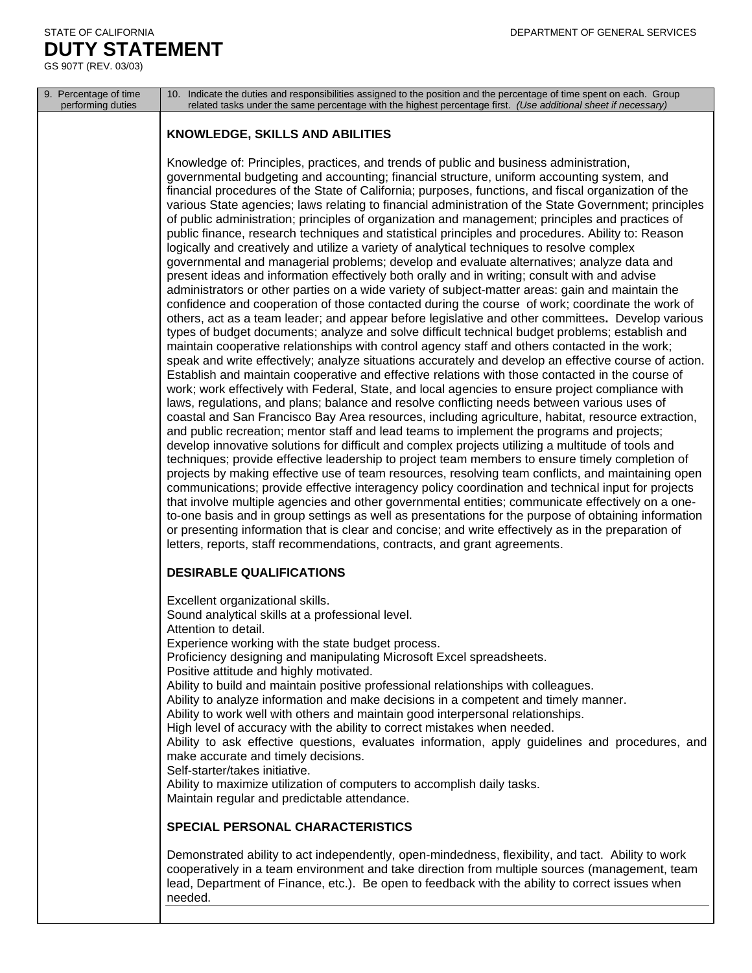### STATE OF CALIFORNIA DEPARTMENT OF GENERAL SERVICES **DUTY STATEMENT**

GS 907T (REV. 03/03)

| 9. Percentage of time<br>performing duties | 10. Indicate the duties and responsibilities assigned to the position and the percentage of time spent on each. Group<br>related tasks under the same percentage with the highest percentage first. (Use additional sheet if necessary)                                                                                                                                                                                                                                                                                                                                                                                                                                                                                                                                                                                                                                                                                                                                                                                                                                                                                                                                                                                                                                                                                                                                                                                                                                                                                                                                                                                                                                                                                                                                                                                                                                                                                                                                                                                                                                                                                                                                                                                                                                                                                                                                                                                                                                                                                                                                                                                                                                                                                                                                                                                                                               |
|--------------------------------------------|-----------------------------------------------------------------------------------------------------------------------------------------------------------------------------------------------------------------------------------------------------------------------------------------------------------------------------------------------------------------------------------------------------------------------------------------------------------------------------------------------------------------------------------------------------------------------------------------------------------------------------------------------------------------------------------------------------------------------------------------------------------------------------------------------------------------------------------------------------------------------------------------------------------------------------------------------------------------------------------------------------------------------------------------------------------------------------------------------------------------------------------------------------------------------------------------------------------------------------------------------------------------------------------------------------------------------------------------------------------------------------------------------------------------------------------------------------------------------------------------------------------------------------------------------------------------------------------------------------------------------------------------------------------------------------------------------------------------------------------------------------------------------------------------------------------------------------------------------------------------------------------------------------------------------------------------------------------------------------------------------------------------------------------------------------------------------------------------------------------------------------------------------------------------------------------------------------------------------------------------------------------------------------------------------------------------------------------------------------------------------------------------------------------------------------------------------------------------------------------------------------------------------------------------------------------------------------------------------------------------------------------------------------------------------------------------------------------------------------------------------------------------------------------------------------------------------------------------------------------------------|
|                                            | <b>KNOWLEDGE, SKILLS AND ABILITIES</b>                                                                                                                                                                                                                                                                                                                                                                                                                                                                                                                                                                                                                                                                                                                                                                                                                                                                                                                                                                                                                                                                                                                                                                                                                                                                                                                                                                                                                                                                                                                                                                                                                                                                                                                                                                                                                                                                                                                                                                                                                                                                                                                                                                                                                                                                                                                                                                                                                                                                                                                                                                                                                                                                                                                                                                                                                                |
|                                            | Knowledge of: Principles, practices, and trends of public and business administration,<br>governmental budgeting and accounting; financial structure, uniform accounting system, and<br>financial procedures of the State of California; purposes, functions, and fiscal organization of the<br>various State agencies; laws relating to financial administration of the State Government; principles<br>of public administration; principles of organization and management; principles and practices of<br>public finance, research techniques and statistical principles and procedures. Ability to: Reason<br>logically and creatively and utilize a variety of analytical techniques to resolve complex<br>governmental and managerial problems; develop and evaluate alternatives; analyze data and<br>present ideas and information effectively both orally and in writing; consult with and advise<br>administrators or other parties on a wide variety of subject-matter areas: gain and maintain the<br>confidence and cooperation of those contacted during the course of work; coordinate the work of<br>others, act as a team leader; and appear before legislative and other committees. Develop various<br>types of budget documents; analyze and solve difficult technical budget problems; establish and<br>maintain cooperative relationships with control agency staff and others contacted in the work;<br>speak and write effectively; analyze situations accurately and develop an effective course of action.<br>Establish and maintain cooperative and effective relations with those contacted in the course of<br>work; work effectively with Federal, State, and local agencies to ensure project compliance with<br>laws, regulations, and plans; balance and resolve conflicting needs between various uses of<br>coastal and San Francisco Bay Area resources, including agriculture, habitat, resource extraction,<br>and public recreation; mentor staff and lead teams to implement the programs and projects;<br>develop innovative solutions for difficult and complex projects utilizing a multitude of tools and<br>techniques; provide effective leadership to project team members to ensure timely completion of<br>projects by making effective use of team resources, resolving team conflicts, and maintaining open<br>communications; provide effective interagency policy coordination and technical input for projects<br>that involve multiple agencies and other governmental entities; communicate effectively on a one-<br>to-one basis and in group settings as well as presentations for the purpose of obtaining information<br>or presenting information that is clear and concise; and write effectively as in the preparation of<br>letters, reports, staff recommendations, contracts, and grant agreements. |
|                                            | <b>DESIRABLE QUALIFICATIONS</b>                                                                                                                                                                                                                                                                                                                                                                                                                                                                                                                                                                                                                                                                                                                                                                                                                                                                                                                                                                                                                                                                                                                                                                                                                                                                                                                                                                                                                                                                                                                                                                                                                                                                                                                                                                                                                                                                                                                                                                                                                                                                                                                                                                                                                                                                                                                                                                                                                                                                                                                                                                                                                                                                                                                                                                                                                                       |
|                                            | Excellent organizational skills.<br>Sound analytical skills at a professional level.<br>Attention to detail.<br>Experience working with the state budget process.<br>Proficiency designing and manipulating Microsoft Excel spreadsheets.<br>Positive attitude and highly motivated.<br>Ability to build and maintain positive professional relationships with colleagues.<br>Ability to analyze information and make decisions in a competent and timely manner.<br>Ability to work well with others and maintain good interpersonal relationships.<br>High level of accuracy with the ability to correct mistakes when needed.<br>Ability to ask effective questions, evaluates information, apply guidelines and procedures, and<br>make accurate and timely decisions.<br>Self-starter/takes initiative.<br>Ability to maximize utilization of computers to accomplish daily tasks.<br>Maintain regular and predictable attendance.                                                                                                                                                                                                                                                                                                                                                                                                                                                                                                                                                                                                                                                                                                                                                                                                                                                                                                                                                                                                                                                                                                                                                                                                                                                                                                                                                                                                                                                                                                                                                                                                                                                                                                                                                                                                                                                                                                                               |
|                                            | SPECIAL PERSONAL CHARACTERISTICS                                                                                                                                                                                                                                                                                                                                                                                                                                                                                                                                                                                                                                                                                                                                                                                                                                                                                                                                                                                                                                                                                                                                                                                                                                                                                                                                                                                                                                                                                                                                                                                                                                                                                                                                                                                                                                                                                                                                                                                                                                                                                                                                                                                                                                                                                                                                                                                                                                                                                                                                                                                                                                                                                                                                                                                                                                      |
|                                            | Demonstrated ability to act independently, open-mindedness, flexibility, and tact. Ability to work<br>cooperatively in a team environment and take direction from multiple sources (management, team<br>lead, Department of Finance, etc.). Be open to feedback with the ability to correct issues when<br>needed.                                                                                                                                                                                                                                                                                                                                                                                                                                                                                                                                                                                                                                                                                                                                                                                                                                                                                                                                                                                                                                                                                                                                                                                                                                                                                                                                                                                                                                                                                                                                                                                                                                                                                                                                                                                                                                                                                                                                                                                                                                                                                                                                                                                                                                                                                                                                                                                                                                                                                                                                                    |